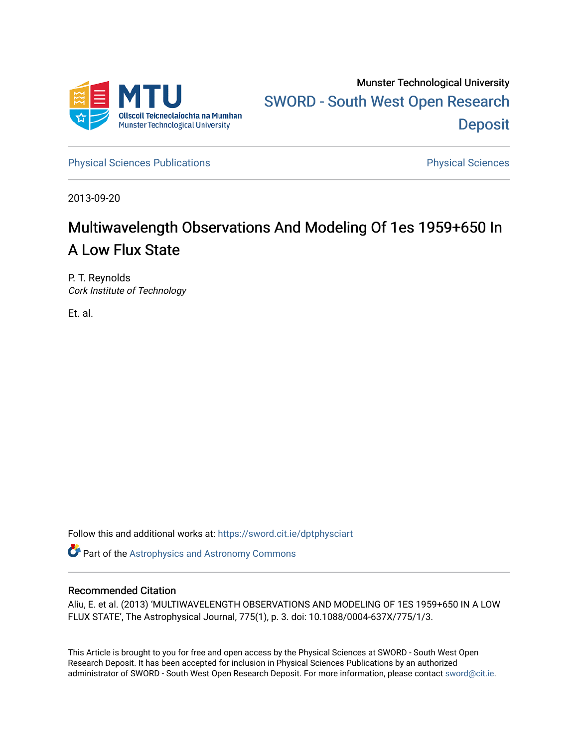

[Physical Sciences Publications](https://sword.cit.ie/dptphysciart) **Physical Sciences** Physical Sciences

2013-09-20

# Multiwavelength Observations And Modeling Of 1es 1959+650 In A Low Flux State

P. T. Reynolds Cork Institute of Technology

Et. al.

Follow this and additional works at: [https://sword.cit.ie/dptphysciart](https://sword.cit.ie/dptphysciart?utm_source=sword.cit.ie%2Fdptphysciart%2F80&utm_medium=PDF&utm_campaign=PDFCoverPages)

Part of the [Astrophysics and Astronomy Commons](http://network.bepress.com/hgg/discipline/123?utm_source=sword.cit.ie%2Fdptphysciart%2F80&utm_medium=PDF&utm_campaign=PDFCoverPages) 

# Recommended Citation

Aliu, E. et al. (2013) 'MULTIWAVELENGTH OBSERVATIONS AND MODELING OF 1ES 1959+650 IN A LOW FLUX STATE', The Astrophysical Journal, 775(1), p. 3. doi: 10.1088/0004-637X/775/1/3.

This Article is brought to you for free and open access by the Physical Sciences at SWORD - South West Open Research Deposit. It has been accepted for inclusion in Physical Sciences Publications by an authorized administrator of SWORD - South West Open Research Deposit. For more information, please contact [sword@cit.ie.](mailto:sword@cit.ie)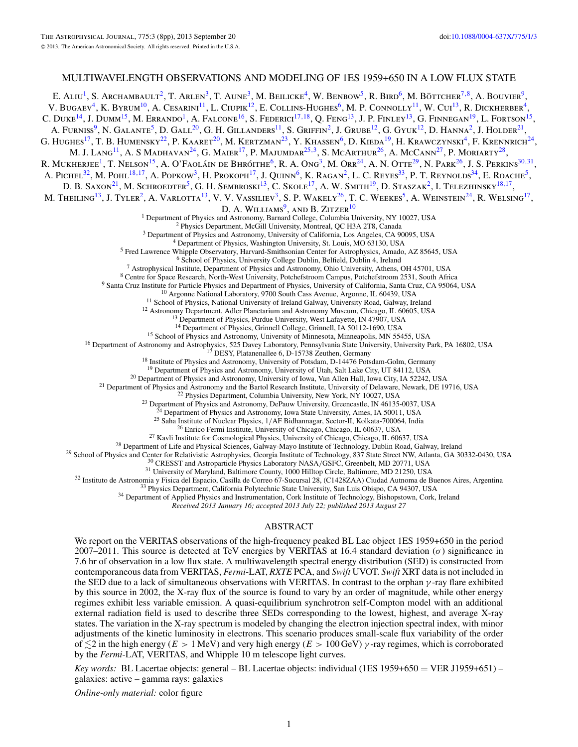# MULTIWAVELENGTH OBSERVATIONS AND MODELING OF 1ES 1959+650 IN A LOW FLUX STATE

E. ALIU<sup>1</sup>, S. Archambault<sup>2</sup>, T. Arlen<sup>3</sup>, T. Aune<sup>3</sup>, M. Beilicke<sup>4</sup>, W. Benbow<sup>5</sup>, R. Bird<sup>6</sup>, M. Böttcher<sup>7,8</sup>, A. Bouvier<sup>9</sup>, V. Bugaev<sup>4</sup>, K. Byrum<sup>10</sup>, A. Cesarini<sup>11</sup>, L. Ciupik<sup>12</sup>, E. Collins-Hughes<sup>6</sup>, M. P. Connolly<sup>11</sup>, W. Cui<sup>13</sup>, R. Dickherber<sup>4</sup>, C. Duke<sup>14</sup>, J. Dumm<sup>15</sup>, M. Errando<sup>1</sup>, A. Falcone<sup>16</sup>, S. Federici<sup>17,18</sup>, O. Feng<sup>13</sup>, J. P. Finley<sup>13</sup>, G. Finnegan<sup>19</sup>, L. Fortson<sup>15</sup>, A. FURNISS<sup>9</sup>, N. GALANTE<sup>5</sup>, D. GALL<sup>20</sup>, G. H. GILLANDERS<sup>11</sup>, S. GRIFFIN<sup>2</sup>, J. GRUBE<sup>12</sup>, G. GYUK<sup>12</sup>, D. HANNA<sup>2</sup>, J. HOLDER<sup>21</sup>, G. HUGHES<sup>17</sup>, T. B. HUMENSKY<sup>22</sup>, P. KAARET<sup>20</sup>, M. KERTZMAN<sup>23</sup>, Y. KHASSEN<sup>6</sup>, D. KIEDA<sup>19</sup>, H. KRAWCZYNSKI<sup>4</sup>, F. KRENNRICH<sup>24</sup>, M. J. Lang<sup>11</sup>, A. S Madhavan<sup>24</sup>, G. Maier<sup>17</sup>, P. Majumdar<sup>25,3</sup>, S. McArthur<sup>26</sup>, A. McCann<sup>27</sup>, P. Moriarty<sup>28</sup>, R. MUKHERJEE<sup>1</sup>, T. NELSON<sup>15</sup>, A. O'FAOLÁIN DE BHRÓITHE<sup>6</sup>, R. A. Ong<sup>3</sup>, M. Orr<sup>24</sup>, A. N. OTTE<sup>29</sup>, N. PARK<sup>26</sup>, J. S. PERKINS<sup>30,31</sup>, A. PICHEL<sup>32</sup>, M. POHL<sup>18,17</sup>, A. POPKOW<sup>3</sup>, H. PROKOPH<sup>17</sup>, J. QUINN<sup>6</sup>, K. RAGAN<sup>2</sup>, L. C. REYES<sup>33</sup>, P. T. REYNOLDS<sup>34</sup>, E. ROACHE<sup>5</sup>, D. B. SAXON<sup>21</sup>, M. SCHROEDTER<sup>5</sup>, G. H. SEMBROSKI<sup>13</sup>, C. SKOLE<sup>17</sup>, A. W. SMITH<sup>19</sup>, D. STASZAK<sup>2</sup>, I. TELEZHINSKY<sup>18,17</sup>, M. THEILING<sup>13</sup>, J. TYLER<sup>2</sup>, A. VARLOTTA<sup>13</sup>, V. V. VASSILIEV<sup>3</sup>, S. P. WAKELY<sup>26</sup>, T. C. WEEKES<sup>5</sup>, A. WEINSTEIN<sup>24</sup>, R. WELSING<sup>17</sup>, D. A. WILLIAMS<sup>9</sup>, AND B.  $ZITZER<sup>10</sup>$ <br><sup>1</sup> Department of Physics and Astronomy, Barnard College, Columbia University, NY 10027, USA <sup>1</sup> Department of Physics and Astronomy, Barnard College, Columbia University, NY 10027, USA<br><sup>2</sup> Physics Department, McGill University, Montreal, QC H3A 2T8, Canada<br><sup>3</sup> Department of Physics and Astronomy, University of C <sup>14</sup> Department of Physics, Grinnell College, Grinnell, IA 50112-1690, USA<br><sup>15</sup> School of Physics and Astronomy, University of Minnesota, Minneapolis, MN 55455, USA<br><sup>16</sup> Department of Astronomy and Astrophysics, 525 Davey <sup>20</sup> Department of Physics and Astronomy, University of Iowa, Van Allen Hall, Iowa City, IA 52242, USA<br>
<sup>21</sup> Department of Physics and Astronomy and the Bartol Research Institute, University of Delaware, Newark, DE 19716,

*Received 2013 January 16; accepted 2013 July 22; published 2013 August 27*

#### ABSTRACT

We report on the VERITAS observations of the high-frequency peaked BL Lac object 1ES 1959+650 in the period 2007–2011. This source is detected at TeV energies by VERITAS at 16*.*4 standard deviation (*σ*) significance in 7*.*6 hr of observation in a low flux state. A multiwavelength spectral energy distribution (SED) is constructed from contemporaneous data from VERITAS, *Fermi*-LAT, *RXTE* PCA, and *Swift* UVOT. *Swift* XRT data is not included in the SED due to a lack of simultaneous observations with VERITAS. In contrast to the orphan *γ* -ray flare exhibited by this source in 2002, the X-ray flux of the source is found to vary by an order of magnitude, while other energy regimes exhibit less variable emission. A quasi-equilibrium synchrotron self-Compton model with an additional external radiation field is used to describe three SEDs corresponding to the lowest, highest, and average X-ray states. The variation in the X-ray spectrum is modeled by changing the electron injection spectral index, with minor adjustments of the kinetic luminosity in electrons. This scenario produces small-scale flux variability of the order of -2 in the high energy (*E >* 1 MeV) and very high energy (*E >* 100 GeV) *γ* -ray regimes, which is corroborated by the *Fermi*-LAT, VERITAS, and Whipple 10 m telescope light curves.

*Key words:* BL Lacertae objects: general – BL Lacertae objects: individual (1ES 1959+650 = VER J1959+651) – galaxies: active – gamma rays: galaxies

*Online-only material:* color figure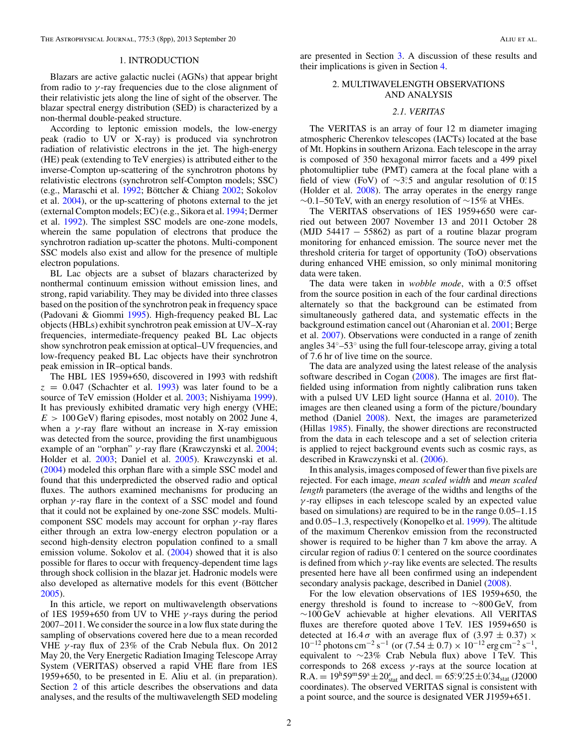#### 1. INTRODUCTION

Blazars are active galactic nuclei (AGNs) that appear bright from radio to *γ* -ray frequencies due to the close alignment of their relativistic jets along the line of sight of the observer. The blazar spectral energy distribution (SED) is characterized by a non-thermal double-peaked structure.

According to leptonic emission models, the low-energy peak (radio to UV or X-ray) is produced via synchrotron radiation of relativistic electrons in the jet. The high-energy (HE) peak (extending to TeV energies) is attributed either to the inverse-Compton up-scattering of the synchrotron photons by relativistic electrons (synchrotron self-Compton models; SSC) (e.g., Maraschi et al. [1992;](#page-8-0) Böttcher & Chiang [2002;](#page-8-0) Sokolov et al. [2004\)](#page-8-0), or the up-scattering of photons external to the jet (external Compton models; EC) (e.g., Sikora et al. [1994;](#page-8-0) Dermer et al. [1992\)](#page-8-0). The simplest SSC models are one-zone models, wherein the same population of electrons that produce the synchrotron radiation up-scatter the photons. Multi-component SSC models also exist and allow for the presence of multiple electron populations.

BL Lac objects are a subset of blazars characterized by nonthermal continuum emission without emission lines, and strong, rapid variability. They may be divided into three classes based on the position of the synchrotron peak in frequency space (Padovani & Giommi [1995\)](#page-8-0). High-frequency peaked BL Lac objects (HBLs) exhibit synchrotron peak emission at UV–X-ray frequencies, intermediate-frequency peaked BL Lac objects show synchrotron peak emission at optical–UV frequencies, and low-frequency peaked BL Lac objects have their synchrotron peak emission in IR–optical bands.

The HBL 1ES 1959+650, discovered in 1993 with redshift  $z = 0.047$  (Schachter et al. [1993\)](#page-8-0) was later found to be a source of TeV emission (Holder et al. [2003;](#page-8-0) Nishiyama [1999\)](#page-8-0). It has previously exhibited dramatic very high energy (VHE;  $E > 100$  GeV) flaring episodes, most notably on 2002 June 4, when a  $\gamma$ -ray flare without an increase in X-ray emission was detected from the source, providing the first unambiguous example of an "orphan" *γ* -ray flare (Krawczynski et al. [2004;](#page-8-0) Holder et al. [2003;](#page-8-0) Daniel et al. [2005\)](#page-8-0). Krawczynski et al. [\(2004\)](#page-8-0) modeled this orphan flare with a simple SSC model and found that this underpredicted the observed radio and optical fluxes. The authors examined mechanisms for producing an orphan *γ* -ray flare in the context of a SSC model and found that it could not be explained by one-zone SSC models. Multicomponent SSC models may account for orphan *γ* -ray flares either through an extra low-energy electron population or a second high-density electron population confined to a small emission volume. Sokolov et al. [\(2004\)](#page-8-0) showed that it is also possible for flares to occur with frequency-dependent time lags through shock collision in the blazar jet. Hadronic models were also developed as alternative models for this event (Böttcher [2005\)](#page-8-0).

In this article, we report on multiwavelength observations of 1ES 1959+650 from UV to VHE *γ* -rays during the period 2007–2011. We consider the source in a low flux state during the sampling of observations covered here due to a mean recorded VHE *γ* -ray flux of 23% of the Crab Nebula flux. On 2012 May 20, the Very Energetic Radiation Imaging Telescope Array System (VERITAS) observed a rapid VHE flare from 1ES 1959+650, to be presented in E. Aliu et al. (in preparation). Section 2 of this article describes the observations and data analyses, and the results of the multiwavelength SED modeling are presented in Section [3.](#page-6-0) A discussion of these results and their implications is given in Section [4.](#page-6-0)

### 2. MULTIWAVELENGTH OBSERVATIONS AND ANALYSIS

#### *2.1. VERITAS*

The VERITAS is an array of four 12 m diameter imaging atmospheric Cherenkov telescopes (IACTs) located at the base of Mt. Hopkins in southern Arizona. Each telescope in the array is composed of 350 hexagonal mirror facets and a 499 pixel photomultiplier tube (PMT) camera at the focal plane with a field of view (FoV) of ∼3°.5 and angular resolution of 0°.15 (Holder et al. [2008\)](#page-8-0). The array operates in the energy range ∼0*.*1–50 TeV, with an energy resolution of ∼15% at VHEs.

The VERITAS observations of 1ES 1959+650 were carried out between 2007 November 13 and 2011 October 28 (MJD 54417  $-$  55862) as part of a routine blazar program monitoring for enhanced emission. The source never met the threshold criteria for target of opportunity (ToO) observations during enhanced VHE emission, so only minimal monitoring data were taken.

The data were taken in *wobble mode*, with a 0.5 offset from the source position in each of the four cardinal directions alternately so that the background can be estimated from simultaneously gathered data, and systematic effects in the background estimation cancel out (Aharonian et al. [2001;](#page-8-0) Berge et al. [2007\)](#page-8-0). Observations were conducted in a range of zenith angles 34◦–53◦ using the full four-telescope array, giving a total of 7.6 hr of live time on the source.

The data are analyzed using the latest release of the analysis software described in Cogan [\(2008\)](#page-8-0). The images are first flatfielded using information from nightly calibration runs taken with a pulsed UV LED light source (Hanna et al. [2010\)](#page-8-0). The images are then cleaned using a form of the picture*/*boundary method (Daniel [2008\)](#page-8-0). Next, the images are parameterized (Hillas [1985\)](#page-8-0). Finally, the shower directions are reconstructed from the data in each telescope and a set of selection criteria is applied to reject background events such as cosmic rays, as described in Krawczynski et al. [\(2006\)](#page-8-0).

In this analysis, images composed of fewer than five pixels are rejected. For each image, *mean scaled width* and *mean scaled length* parameters (the average of the widths and lengths of the *γ* -ray ellipses in each telescope scaled by an expected value based on simulations) are required to be in the range 0*.*05–1*.*15 and 0*.*05–1*.*3, respectively (Konopelko et al. [1999\)](#page-8-0). The altitude of the maximum Cherenkov emission from the reconstructed shower is required to be higher than 7 km above the array. A circular region of radius 0*.* ◦1 centered on the source coordinates is defined from which  $\gamma$ -ray like events are selected. The results presented here have all been confirmed using an independent secondary analysis package, described in Daniel [\(2008\)](#page-8-0).

For the low elevation observations of 1ES 1959+650, the energy threshold is found to increase to ∼800 GeV, from ∼100 GeV achievable at higher elevations. All VERITAS fluxes are therefore quoted above 1 TeV. 1ES 1959+650 is detected at 16.4 $\sigma$  with an average flux of (3.97  $\pm$  0.37)  $\times$  $10^{-12}$  photons cm<sup>-2</sup> s<sup>-1</sup> (or  $(7.54 \pm 0.7) \times 10^{-12}$  erg cm<sup>-2</sup> s<sup>-1</sup>, equivalent to ∼23% Crab Nebula flux) above 1 TeV. This corresponds to 268 excess  $\gamma$ -rays at the source location at R.A.  $= 19^{\text{h}}59^{\text{m}}59^{\text{s}} \pm 20^{\text{s}}_{\text{stat}}$  and decl.  $= 65^{\circ}9^{\prime}\!.25 \pm 0^{\prime}\!.34_{\text{stat}}$  (J2000 coordinates). The observed VERITAS signal is consistent with a point source, and the source is designated VER J1959+651.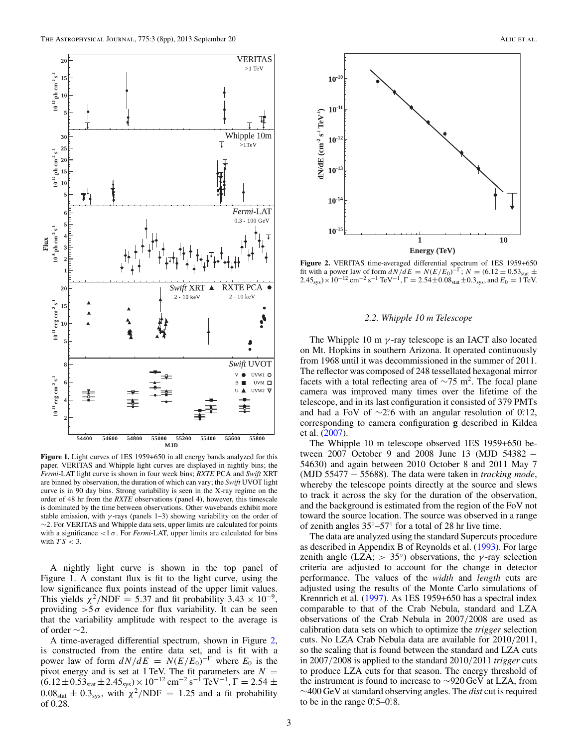<span id="page-3-0"></span>

**Figure 1.** Light curves of 1ES 1959+650 in all energy bands analyzed for this paper. VERITAS and Whipple light curves are displayed in nightly bins; the *Fermi*-LAT light curve is shown in four week bins; *RXTE* PCA and *Swift* XRT are binned by observation, the duration of which can vary; the *Swift* UVOT light curve is in 90 day bins. Strong variability is seen in the X-ray regime on the order of 48 hr from the *RXTE* observations (panel 4), however, this timescale is dominated by the time between observations. Other wavebands exhibit more stable emission, with *γ* -rays (panels 1–3) showing variability on the order of ∼2. For VERITAS and Whipple data sets, upper limits are calculated for points with a significance  $\langle 1 \sigma \rangle$ . For *Fermi*-LAT, upper limits are calculated for bins with  $TS < 3$ .

A nightly light curve is shown in the top panel of Figure 1. A constant flux is fit to the light curve, using the low significance flux points instead of the upper limit values. This yields  $\chi^2/NDF = 5.37$  and fit probability 3.43 × 10<sup>-9</sup>, providing  $>5\sigma$  evidence for flux variability. It can be seen that the variability amplitude with respect to the average is of order ∼2.

A time-averaged differential spectrum, shown in Figure 2, is constructed from the entire data set, and is fit with a power law of form  $dN/dE = N(E/E_0)^{-\Gamma}$  where  $E_0$  is the pivot energy and is set at 1 TeV. The fit parameters are  $N =$  $(6.12 \pm 0.53<sub>stat</sub> \pm 2.45<sub>sys</sub>) \times 10<sup>-12</sup>$  cm<sup>-2</sup> s<sup>-1</sup> TeV<sup>-1</sup>,  $\Gamma = 2.54 \pm 1.5$  $0.08<sub>stat</sub> \pm 0.3<sub>sys</sub>$ , with  $\chi^2/NDF = 1.25$  and a fit probability of 0*.*28.



**Figure 2.** VERITAS time-averaged differential spectrum of 1ES 1959+650 fit with a power law of form  $dN/dE = N(E/E_0)^{-\Gamma}$ ;  $N = (6.12 \pm 0.53<sub>stat</sub> \pm 0.02)$  $2.45_{\rm sys}$ ) × 10<sup>-12</sup> cm<sup>-2</sup> s<sup>-1</sup> TeV<sup>-1</sup>,  $\Gamma = 2.54 \pm 0.08_{\rm stat} \pm 0.3_{\rm sys}$ , and  $E_0 = 1$  TeV.

#### *2.2. Whipple 10 m Telescope*

The Whipple 10 m *γ* -ray telescope is an IACT also located on Mt. Hopkins in southern Arizona. It operated continuously from 1968 until it was decommissioned in the summer of 2011. The reflector was composed of 248 tessellated hexagonal mirror facets with a total reflecting area of  $\sim$ 75 m<sup>2</sup>. The focal plane camera was improved many times over the lifetime of the telescope, and in its last configuration it consisted of 379 PMTs and had a FoV of  $\sim$ 2.<sup>o</sup> with an angular resolution of 0.12, corresponding to camera configuration **g** described in Kildea et al. [\(2007\)](#page-8-0).

The Whipple 10 m telescope observed 1ES 1959+650 between 2007 October 9 and 2008 June 13 (MJD 54382 − 54630) and again between 2010 October 8 and 2011 May 7 (MJD 55477 − 55688). The data were taken in *tracking mode*, whereby the telescope points directly at the source and slews to track it across the sky for the duration of the observation, and the background is estimated from the region of the FoV not toward the source location. The source was observed in a range of zenith angles 35◦–57◦ for a total of 28 hr live time.

The data are analyzed using the standard Supercuts procedure as described in Appendix B of Reynolds et al. [\(1993\)](#page-8-0). For large zenith angle (LZA;  $> 35^\circ$ ) observations, the *γ*-ray selection criteria are adjusted to account for the change in detector performance. The values of the *width* and *length* cuts are adjusted using the results of the Monte Carlo simulations of Krennrich et al. [\(1997\)](#page-8-0). As 1ES 1959+650 has a spectral index comparable to that of the Crab Nebula, standard and LZA observations of the Crab Nebula in 2007*/*2008 are used as calibration data sets on which to optimize the *trigger* selection cuts. No LZA Crab Nebula data are available for 2010*/*2011, so the scaling that is found between the standard and LZA cuts in 2007*/*2008 is applied to the standard 2010*/*2011 *trigger* cuts to produce LZA cuts for that season. The energy threshold of the instrument is found to increase to ∼920 GeV at LZA, from ∼400 GeV at standard observing angles. The *dist* cut is required to be in the range  $0^\circ$ :5– $0^\circ$ .8.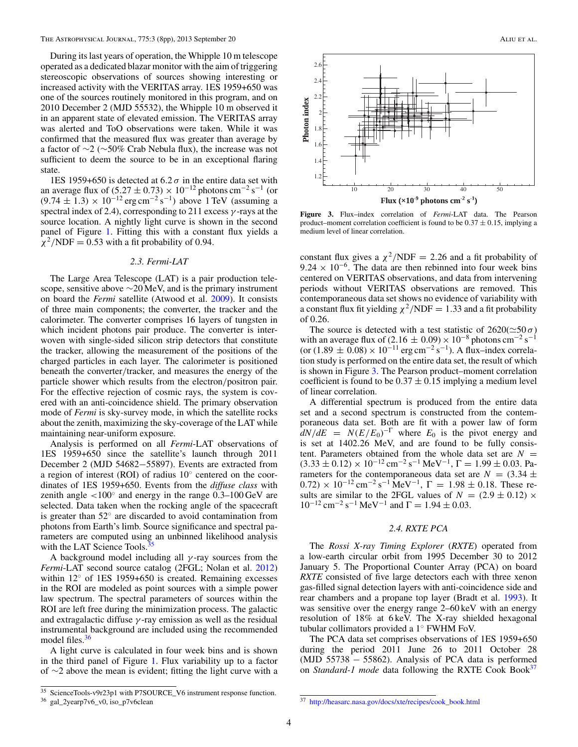<span id="page-4-0"></span>During its last years of operation, the Whipple 10 m telescope operated as a dedicated blazar monitor with the aim of triggering stereoscopic observations of sources showing interesting or increased activity with the VERITAS array. 1ES 1959+650 was one of the sources routinely monitored in this program, and on 2010 December 2 (MJD 55532), the Whipple 10 m observed it in an apparent state of elevated emission. The VERITAS array was alerted and ToO observations were taken. While it was confirmed that the measured flux was greater than average by a factor of ∼2 (∼50% Crab Nebula flux), the increase was not sufficient to deem the source to be in an exceptional flaring state.

1ES 1959+650 is detected at  $6.2\sigma$  in the entire data set with an average flux of  $(5.27 \pm 0.73) \times 10^{-12}$  photons cm<sup>-2</sup> s<sup>-1</sup> (or  $(9.74 \pm 1.3) \times 10^{-12}$  erg cm<sup>-2</sup> s<sup>-1</sup>) above 1 TeV (assuming a spectral index of 2.4), corresponding to 211 excess *γ* -rays at the source location. A nightly light curve is shown in the second panel of Figure [1.](#page-3-0) Fitting this with a constant flux yields a  $\chi^2/NDF = 0.53$  with a fit probability of 0.94.

#### *2.3. Fermi-LAT*

The Large Area Telescope (LAT) is a pair production telescope, sensitive above ∼20 MeV, and is the primary instrument on board the *Fermi* satellite (Atwood et al. [2009\)](#page-8-0). It consists of three main components; the converter, the tracker and the calorimeter. The converter comprises 16 layers of tungsten in which incident photons pair produce. The converter is interwoven with single-sided silicon strip detectors that constitute the tracker, allowing the measurement of the positions of the charged particles in each layer. The calorimeter is positioned beneath the converter*/*tracker, and measures the energy of the particle shower which results from the electron*/*positron pair. For the effective rejection of cosmic rays, the system is covered with an anti-coincidence shield. The primary observation mode of *Fermi* is sky-survey mode, in which the satellite rocks about the zenith, maximizing the sky-coverage of the LAT while maintaining near-uniform exposure.

Analysis is performed on all *Fermi*-LAT observations of 1ES 1959+650 since the satellite's launch through 2011 December 2 (MJD 54682−55897). Events are extracted from a region of interest (ROI) of radius 10◦ centered on the coordinates of 1ES 1959+650. Events from the *diffuse class* with zenith angle *<*100◦ and energy in the range 0*.*3–100 GeV are selected. Data taken when the rocking angle of the spacecraft is greater than 52◦ are discarded to avoid contamination from photons from Earth's limb. Source significance and spectral parameters are computed using an unbinned likelihood analysis with the LAT Science Tools. $35$ 

A background model including all *γ* -ray sources from the *Fermi*-LAT second source catalog (2FGL; Nolan et al. [2012\)](#page-8-0) within 12<sup>°</sup> of 1ES 1959+650 is created. Remaining excesses in the ROI are modeled as point sources with a simple power law spectrum. The spectral parameters of sources within the ROI are left free during the minimization process. The galactic and extragalactic diffuse *γ* -ray emission as well as the residual instrumental background are included using the recommended model files.<sup>36</sup>

A light curve is calculated in four week bins and is shown in the third panel of Figure [1.](#page-3-0) Flux variability up to a factor of ∼2 above the mean is evident; fitting the light curve with a



**Figure 3.** Flux–index correlation of *Fermi*-LAT data. The Pearson product–moment correlation coefficient is found to be  $0.37 \pm 0.15$ , implying a medium level of linear correlation.

constant flux gives a  $\chi^2/\text{NDF} = 2.26$  and a fit probability of  $9.24 \times 10^{-6}$ . The data are then rebinned into four week bins centered on VERITAS observations, and data from intervening periods without VERITAS observations are removed. This contemporaneous data set shows no evidence of variability with a constant flux fit yielding  $\chi^2/NDF = 1.33$  and a fit probability of 0*.*26.

The source is detected with a test statistic of  $2620(\simeq 50 \sigma)$ with an average flux of  $(2.16 \pm 0.09) \times 10^{-8}$  photons cm<sup>-2</sup> s<sup>-1</sup> (or  $(1.89 \pm 0.08) \times 10^{-11}$  erg cm<sup>-2</sup> s<sup>-1</sup>). A flux–index correlation study is performed on the entire data set, the result of which is shown in Figure 3. The Pearson product–moment correlation coefficient is found to be  $0.37 \pm 0.15$  implying a medium level of linear correlation.

A differential spectrum is produced from the entire data set and a second spectrum is constructed from the contemporaneous data set. Both are fit with a power law of form  $dN/dE = N(E/E_0)^{-\Gamma}$  where  $E_0$  is the pivot energy and is set at 1402*.*26 MeV, and are found to be fully consistent. Parameters obtained from the whole data set are  $N =$  $(3.33 \pm 0.12) \times 10^{-12}$  cm<sup>-2</sup> s<sup>-1</sup> MeV<sup>-1</sup>,  $\Gamma = 1.99 \pm 0.03$ . Parameters for the contemporaneous data set are  $N = (3.34 \pm 1)$  $(0.72) \times 10^{-12}$  cm<sup>-2</sup> s<sup>-1</sup> MeV<sup>-1</sup>,  $\Gamma = 1.98 \pm 0.18$ . These results are similar to the 2FGL values of  $N = (2.9 \pm 0.12) \times$  $10^{-12}$  cm<sup>-2</sup> s<sup>-1</sup> MeV<sup>-1</sup> and  $\Gamma = 1.94 \pm 0.03$ .

## *2.4. RXTE PCA*

The *Rossi X-ray Timing Explorer* (*RXTE*) operated from a low-earth circular orbit from 1995 December 30 to 2012 January 5. The Proportional Counter Array (PCA) on board *RXTE* consisted of five large detectors each with three xenon gas-filled signal detection layers with anti-coincidence side and rear chambers and a propane top layer (Bradt et al. [1993\)](#page-8-0). It was sensitive over the energy range 2–60 keV with an energy resolution of 18% at 6 keV. The X-ray shielded hexagonal tubular collimators provided a 1◦ FWHM FoV.

The PCA data set comprises observations of 1ES 1959+650 during the period 2011 June 26 to 2011 October 28 (MJD 55738 − 55862). Analysis of PCA data is performed on *Standard-1 mode* data following the RXTE Cook Book<sup>37</sup>

<sup>35</sup> ScienceTools-v9r23p1 with P7SOURCE\_V6 instrument response function.

<sup>36</sup> gal\_2yearp7v6\_v0, iso\_p7v6clean

<sup>37</sup> [http://heasarc.nasa.gov/docs/xte/recipes/cook\\_book.html](http://heasarc.nasa.gov/docs/xte/recipes/cook_book.html)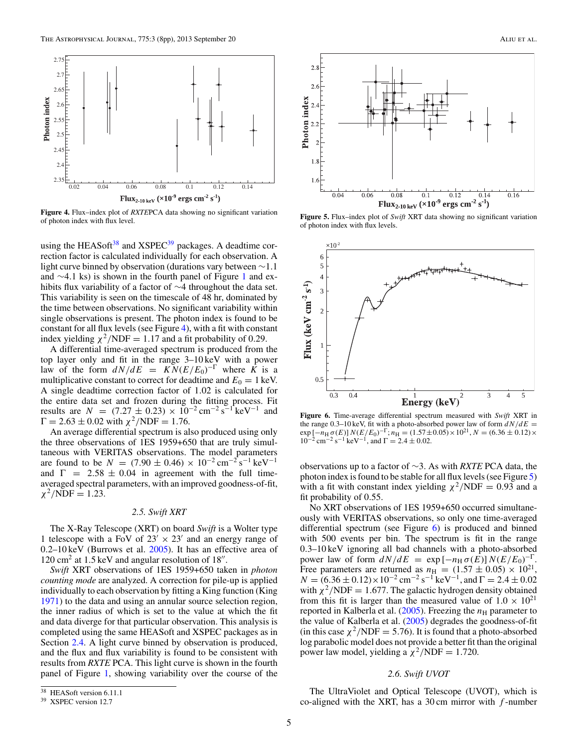

**Figure 4.** Flux–index plot of *RXTE*PCA data showing no significant variation of photon index with flux level.

using the HEASoft $38$  and XSPEC $39$  packages. A deadtime correction factor is calculated individually for each observation. A light curve binned by observation (durations vary between ∼1*.*1 and ∼4*.*1 ks) is shown in the fourth panel of Figure [1](#page-3-0) and exhibits flux variability of a factor of ∼4 throughout the data set. This variability is seen on the timescale of 48 hr, dominated by the time between observations. No significant variability within single observations is present. The photon index is found to be constant for all flux levels (see Figure 4), with a fit with constant index yielding  $\chi^2/NDF = 1.17$  and a fit probability of 0.29.

A differential time-averaged spectrum is produced from the top layer only and fit in the range 3–10 keV with a power law of the form  $dN/dE = KN(E/E_0)^{-\Gamma}$  where  $\overline{K}$  is a multiplicative constant to correct for deadtime and  $E_0 = 1 \text{ keV}$ . A single deadtime correction factor of 1*.*02 is calculated for the entire data set and frozen during the fitting process. Fit results are  $N = (7.27 \pm 0.23) \times 10^{-2} \text{ cm}^{-2} \text{ s}^{-1} \text{ keV}^{-1}$  and  $Γ = 2.63 ± 0.02$  with  $χ²/NDF = 1.76$ .

An average differential spectrum is also produced using only the three observations of 1ES 1959+650 that are truly simultaneous with VERITAS observations. The model parameters are found to be  $N = (7.90 \pm 0.46) \times 10^{-2} \text{ cm}^{-2} \text{s}^{-1} \text{ keV}^{-1}$ and  $\Gamma$  = 2.58  $\pm$  0.04 in agreement with the full timeaveraged spectral parameters, with an improved goodness-of-fit,  $\chi^2/\text{NDF} = 1.23$ .

#### *2.5. Swift XRT*

The X-Ray Telescope (XRT) on board *Swift* is a Wolter type 1 telescope with a FoV of  $23' \times 23'$  and an energy range of 0*.*2–10 keV (Burrows et al. [2005\)](#page-8-0). It has an effective area of  $120 \text{ cm}^2$  at 1.5 keV and angular resolution of 18".

*Swift* XRT observations of 1ES 1959+650 taken in *photon counting mode* are analyzed. A correction for pile-up is applied individually to each observation by fitting a King function (King [1971\)](#page-8-0) to the data and using an annular source selection region, the inner radius of which is set to the value at which the fit and data diverge for that particular observation. This analysis is completed using the same HEASoft and XSPEC packages as in Section [2.4.](#page-4-0) A light curve binned by observation is produced, and the flux and flux variability is found to be consistent with results from *RXTE* PCA. This light curve is shown in the fourth panel of Figure [1,](#page-3-0) showing variability over the course of the



**Figure 5.** Flux–index plot of *Swift* XRT data showing no significant variation of photon index with flux levels.



**Figure 6.** Time-average differential spectrum measured with *Swift* XRT in the range 0.3–10 keV, fit with a photo-absorbed power law of form  $dN/dE =$  $\exp \left[-n_H \sigma(E)\right] N(E/E_0)^{-\Gamma}; n_H = (1.57 \pm 0.05) \times 10^{21}, N = (6.36 \pm 0.12) \times$  $10^{-2}$  cm<sup>-2</sup> s<sup>-1</sup> keV<sup>-1</sup>, and  $\Gamma = 2.4 \pm 0.02$ .

observations up to a factor of ∼3. As with *RXTE* PCA data, the photon index is found to be stable for all flux levels (see Figure 5) with a fit with constant index yielding  $\chi^2/NDF = 0.93$  and a fit probability of 0*.*55.

No XRT observations of 1ES 1959+650 occurred simultaneously with VERITAS observations, so only one time-averaged differential spectrum (see Figure 6) is produced and binned with 500 events per bin. The spectrum is fit in the range 0*.*3–10 keV ignoring all bad channels with a photo-absorbed power law of form  $dN/dE = \exp[-n_H \sigma(E)] N(E/E_0)^{-\Gamma}$ . Free parameters are returned as  $n_{\text{H}} = (1.57 \pm 0.05) \times 10^{21}$ ,  $N = (6.36 \pm 0.12) \times 10^{-2}$  cm<sup>-2</sup> s<sup>-1</sup> keV<sup>-1</sup>, and  $\Gamma = 2.4 \pm 0.02$ with  $\chi^2/NDF = 1.677$ . The galactic hydrogen density obtained from this fit is larger than the measured value of  $1.0 \times 10^{21}$ reported in Kalberla et al.  $(2005)$ . Freezing the  $n<sub>H</sub>$  parameter to the value of Kalberla et al. [\(2005\)](#page-8-0) degrades the goodness-of-fit (in this case  $\chi^2/\text{NDF} = 5.76$ ). It is found that a photo-absorbed log parabolic model does not provide a better fit than the original power law model, yielding a  $\chi^2/\text{NDF} = 1.720$ .

## *2.6. Swift UVOT*

The UltraViolet and Optical Telescope (UVOT), which is co-aligned with the XRT, has a 30 cm mirror with *f* -number

<sup>38</sup> HEASoft version 6.11.1

<sup>39</sup> XSPEC version 12.7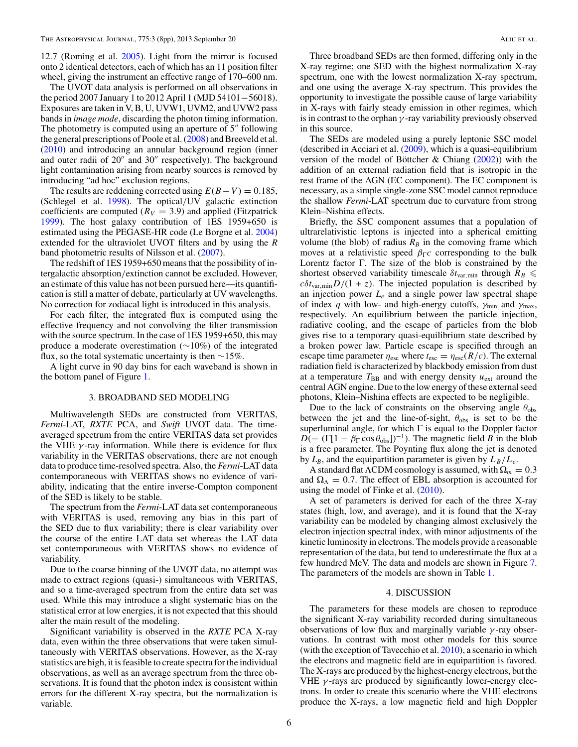<span id="page-6-0"></span>12*.*7 (Roming et al. [2005\)](#page-8-0). Light from the mirror is focused onto 2 identical detectors, each of which has an 11 position filter wheel, giving the instrument an effective range of 170–600 nm.

The UVOT data analysis is performed on all observations in the period 2007 January 1 to 2012 April 1 (MJD 54101−56018). Exposures are taken in V, B, U, UVW1, UVM2, and UVW2 pass bands in *image mode*, discarding the photon timing information. The photometry is computed using an aperture of  $5$ <sup>"</sup> following the general prescriptions of Poole et al. [\(2008\)](#page-8-0) and Breeveld et al. [\(2010\)](#page-8-0) and introducing an annular background region (inner and outer radii of  $20''$  and  $30''$  respectively). The background light contamination arising from nearby sources is removed by introducing "ad hoc" exclusion regions.

The results are reddening corrected using  $E(B-V) = 0.185$ , (Schlegel et al. [1998\)](#page-8-0). The optical*/*UV galactic extinction coefficients are computed  $(R_V = 3.9)$  and applied (Fitzpatrick [1999\)](#page-8-0). The host galaxy contribution of 1ES 1959+650 is estimated using the PEGASE-HR code (Le Borgne et al. [2004\)](#page-8-0) extended for the ultraviolet UVOT filters and by using the *R* band photometric results of Nilsson et al. [\(2007\)](#page-8-0).

The redshift of 1ES 1959+650 means that the possibility of intergalactic absorption*/*extinction cannot be excluded. However, an estimate of this value has not been pursued here—its quantification is still a matter of debate, particularly at UV wavelengths. No correction for zodiacal light is introduced in this analysis.

For each filter, the integrated flux is computed using the effective frequency and not convolving the filter transmission with the source spectrum. In the case of 1ES 1959+650, this may produce a moderate overestimation (∼10%) of the integrated flux, so the total systematic uncertainty is then  $\sim$ 15%.

A light curve in 90 day bins for each waveband is shown in the bottom panel of Figure [1.](#page-3-0)

#### 3. BROADBAND SED MODELING

Multiwavelength SEDs are constructed from VERITAS, *Fermi*-LAT, *RXTE* PCA, and *Swift* UVOT data. The timeaveraged spectrum from the entire VERITAS data set provides the VHE  $\gamma$ -ray information. While there is evidence for flux variability in the VERITAS observations, there are not enough data to produce time-resolved spectra. Also, the *Fermi*-LAT data contemporaneous with VERITAS shows no evidence of variability, indicating that the entire inverse-Compton component of the SED is likely to be stable.

The spectrum from the *Fermi*-LAT data set contemporaneous with VERITAS is used, removing any bias in this part of the SED due to flux variability; there is clear variability over the course of the entire LAT data set whereas the LAT data set contemporaneous with VERITAS shows no evidence of variability.

Due to the coarse binning of the UVOT data, no attempt was made to extract regions (quasi-) simultaneous with VERITAS, and so a time-averaged spectrum from the entire data set was used. While this may introduce a slight systematic bias on the statistical error at low energies, it is not expected that this should alter the main result of the modeling.

Significant variability is observed in the *RXTE* PCA X-ray data, even within the three observations that were taken simultaneously with VERITAS observations. However, as the X-ray statistics are high, it is feasible to create spectra for the individual observations, as well as an average spectrum from the three observations. It is found that the photon index is consistent within errors for the different X-ray spectra, but the normalization is variable.

Three broadband SEDs are then formed, differing only in the X-ray regime; one SED with the highest normalization X-ray spectrum, one with the lowest normalization X-ray spectrum, and one using the average X-ray spectrum. This provides the opportunity to investigate the possible cause of large variability in X-rays with fairly steady emission in other regimes, which is in contrast to the orphan *γ* -ray variability previously observed in this source.

The SEDs are modeled using a purely leptonic SSC model (described in Acciari et al. [\(2009\)](#page-8-0), which is a quasi-equilibrium version of the model of Böttcher & Chiang  $(2002)$  $(2002)$ ) with the addition of an external radiation field that is isotropic in the rest frame of the AGN (EC component). The EC component is necessary, as a simple single-zone SSC model cannot reproduce the shallow *Fermi*-LAT spectrum due to curvature from strong Klein–Nishina effects.

Briefly, the SSC component assumes that a population of ultrarelativistic leptons is injected into a spherical emitting volume (the blob) of radius  $R_B$  in the comoving frame which moves at a relativistic speed  $\beta_{\Gamma}c$  corresponding to the bulk Lorentz factor Γ. The size of the blob is constrained by the shortest observed variability timescale  $\delta t_{\text{var,min}}$  through  $R_B \leq$  $c\delta t_{\text{var,min}}D/(1 + z)$ . The injected population is described by an injection power *Le* and a single power law spectral shape of index *q* with low- and high-energy cutoffs, *γ*min and *γ*max, respectively. An equilibrium between the particle injection, radiative cooling, and the escape of particles from the blob gives rise to a temporary quasi-equilibrium state described by a broken power law. Particle escape is specified through an escape time parameter  $\eta_{\text{esc}}$  where  $t_{\text{esc}} = \eta_{\text{esc}}(R/c)$ . The external radiation field is characterized by blackbody emission from dust at a temperature  $T_{BB}$  and with energy density  $u_{ext}$  around the central AGN engine. Due to the low energy of these external seed photons, Klein–Nishina effects are expected to be negligible.

Due to the lack of constraints on the observing angle  $\theta_{\rm obs}$ between the jet and the line-of-sight,  $\theta_{obs}$  is set to be the superluminal angle, for which  $\Gamma$  is equal to the Doppler factor  $D$ (= (Γ[1 –  $\beta \Gamma$  cos  $\theta_{obs}$ ])<sup>-1</sup>). The magnetic field *B* in the blob is a free parameter. The Poynting flux along the jet is denoted by  $L_B$ , and the equipartition parameter is given by  $L_B/L_e$ .

A standard flatΛCDM cosmology is assumed, with Ω*<sup>m</sup>* = 0*.*3 and  $\Omega_{\Lambda} = 0.7$ . The effect of EBL absorption is accounted for using the model of Finke et al. [\(2010\)](#page-8-0).

A set of parameters is derived for each of the three X-ray states (high, low, and average), and it is found that the X-ray variability can be modeled by changing almost exclusively the electron injection spectral index, with minor adjustments of the kinetic luminosity in electrons. The models provide a reasonable representation of the data, but tend to underestimate the flux at a few hundred MeV. The data and models are shown in Figure [7.](#page-7-0) The parameters of the models are shown in Table [1.](#page-7-0)

#### 4. DISCUSSION

The parameters for these models are chosen to reproduce the significant X-ray variability recorded during simultaneous observations of low flux and marginally variable *γ* -ray observations. In contrast with most other models for this source (with the exception of Tavecchio et al. [2010\)](#page-8-0), a scenario in which the electrons and magnetic field are in equipartition is favored. The X-rays are produced by the highest-energy electrons, but the VHE *γ* -rays are produced by significantly lower-energy electrons. In order to create this scenario where the VHE electrons produce the X-rays, a low magnetic field and high Doppler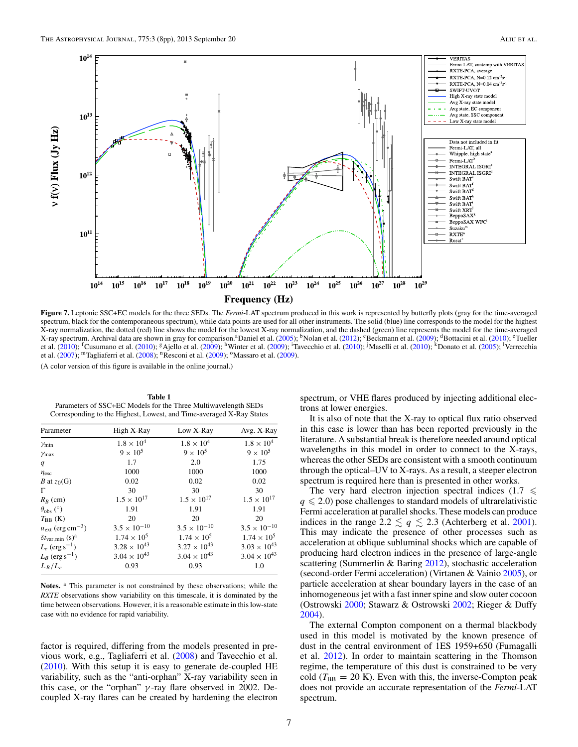<span id="page-7-0"></span>

**Figure 7.** Leptonic SSC+EC models for the three SEDs. The *Fermi*-LAT spectrum produced in this work is represented by butterfly plots (gray for the time-averaged spectrum, black for the contemporaneous spectrum), while data points are used for all other instruments. The solid (blue) line corresponds to the model for the highest X-ray normalization, the dotted (red) line shows the model for the lowest X-ray normalization, and the dashed (green) line represents the model for the time-averaged X-ray spectrum. Archival data are shown in gray for comparison.<sup>a</sup>Daniel et al. [\(2005\)](#page-8-0); <sup>b</sup>Nolan et al. [\(2012\)](#page-8-0); <sup>c</sup>Beckmann et al. [\(2009\)](#page-8-0); <sup>d</sup>Bottacini et al. [\(2010\)](#page-8-0); <sup>e</sup>Tueller et al. [\(2010\)](#page-8-0); <sup>f</sup>Cusumano et al. (2010); <sup>g</sup>Ajello et al. [\(2009\)](#page-8-0); <sup>h</sup>Winter et al. (2009); <sup>i</sup>Tavecchio et al. (2010); <sup>j</sup>Maselli et al. (2010); <sup>k</sup>Donato et al. [\(2005\)](#page-8-0); <sup>l</sup>Verrecchia et al. [\(2007\)](#page-8-0); <sup>m</sup>Tagliaferri et al. [\(2008\)](#page-8-0); <sup>n</sup>Resconi et al. [\(2009\)](#page-8-0); <sup>o</sup>Massaro et al. (2009).

(A color version of this figure is available in the online journal.)

**Table 1** Parameters of SSC+EC Models for the Three Multiwavelength SEDs Corresponding to the Highest, Lowest, and Time-averaged X-Ray States

| Parameter                                 | High X-Ray            | Low X-Ray             | Avg. X-Ray            |
|-------------------------------------------|-----------------------|-----------------------|-----------------------|
| $\gamma_{\min}$                           | $1.8 \times 10^{4}$   | $1.8 \times 10^{4}$   | $1.8 \times 10^{4}$   |
| $\gamma$ max                              | $9 \times 10^5$       | $9 \times 10^5$       | $9 \times 10^5$       |
| q                                         | 1.7                   | 2.0                   | 1.75                  |
| $\eta_{\rm esc}$                          | 1000                  | 1000                  | 1000                  |
| <i>B</i> at $z_0(G)$                      | 0.02                  | 0.02                  | 0.02                  |
| Г                                         | 30                    | 30                    | 30                    |
| $R_B$ (cm)                                | $1.5 \times 10^{17}$  | $1.5 \times 10^{17}$  | $1.5 \times 10^{17}$  |
| $\theta_{\rm obs}$ (°)                    | 1.91                  | 1.91                  | 1.91                  |
| $T_{\rm BB}$ (K)                          | 20                    | 20                    | 20                    |
| $u_{\text{ext}}$ (erg cm <sup>-3</sup> )  | $3.5 \times 10^{-10}$ | $3.5 \times 10^{-10}$ | $3.5 \times 10^{-10}$ |
| $\delta t_{\rm var,min}$ (s) <sup>a</sup> | $1.74 \times 10^{5}$  | $1.74 \times 10^{5}$  | $1.74 \times 10^{5}$  |
| $L_e$ (erg s <sup>-1</sup> )              | $3.28 \times 10^{43}$ | $3.27 \times 10^{43}$ | $3.03 \times 10^{43}$ |
| $L_B$ (erg s <sup>-1</sup> )              | $3.04 \times 10^{43}$ | $3.04 \times 10^{43}$ | $3.04 \times 10^{43}$ |
| $L_B/L_e$                                 | 0.93                  | 0.93                  | 1.0                   |

Notes. <sup>a</sup> This parameter is not constrained by these observations; while the *RXTE* observations show variability on this timescale, it is dominated by the time between observations. However, it is a reasonable estimate in this low-state case with no evidence for rapid variability.

factor is required, differing from the models presented in previous work, e.g., Tagliaferri et al. [\(2008\)](#page-8-0) and Tavecchio et al. [\(2010\)](#page-8-0). With this setup it is easy to generate de-coupled HE variability, such as the "anti-orphan" X-ray variability seen in this case, or the "orphan" *γ* -ray flare observed in 2002. Decoupled X-ray flares can be created by hardening the electron spectrum, or VHE flares produced by injecting additional electrons at lower energies.

It is also of note that the X-ray to optical flux ratio observed in this case is lower than has been reported previously in the literature. A substantial break is therefore needed around optical wavelengths in this model in order to connect to the X-rays, whereas the other SEDs are consistent with a smooth continuum through the optical–UV to X-rays. As a result, a steeper electron spectrum is required here than is presented in other works.

The very hard electron injection spectral indices  $(1.7 \leq$  $q \leq 2.0$ ) pose challenges to standard models of ultrarelativistic Fermi acceleration at parallel shocks. These models can produce indices in the range  $2.2 \lesssim q \lesssim 2.3$  (Achterberg et al. [2001\)](#page-8-0). This may indicate the presence of other processes such as acceleration at oblique subluminal shocks which are capable of producing hard electron indices in the presence of large-angle scattering (Summerlin & Baring [2012\)](#page-8-0), stochastic acceleration (second-order Fermi acceleration) (Virtanen & Vainio [2005\)](#page-8-0), or particle acceleration at shear boundary layers in the case of an inhomogeneous jet with a fast inner spine and slow outer cocoon (Ostrowski [2000;](#page-8-0) Stawarz & Ostrowski [2002;](#page-8-0) Rieger & Duffy [2004\)](#page-8-0).

The external Compton component on a thermal blackbody used in this model is motivated by the known presence of dust in the central environment of 1ES 1959+650 (Fumagalli et al. [2012\)](#page-8-0). In order to maintain scattering in the Thomson regime, the temperature of this dust is constrained to be very cold  $(T_{BB} = 20 \text{ K})$ . Even with this, the inverse-Compton peak does not provide an accurate representation of the *Fermi*-LAT spectrum.